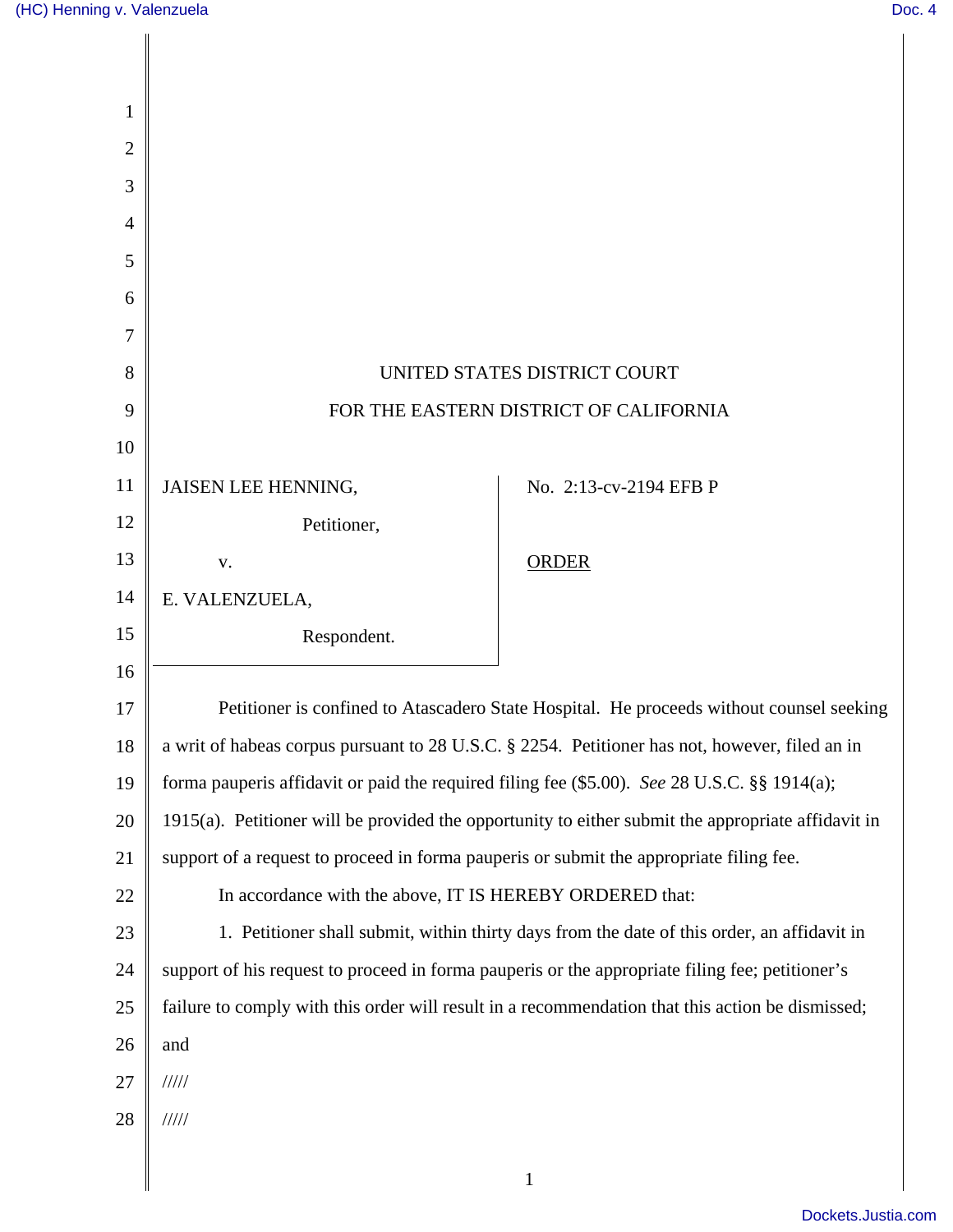| 1              |                                                                                                    |                        |
|----------------|----------------------------------------------------------------------------------------------------|------------------------|
| $\overline{2}$ |                                                                                                    |                        |
| 3              |                                                                                                    |                        |
| 4              |                                                                                                    |                        |
| 5              |                                                                                                    |                        |
| 6              |                                                                                                    |                        |
| 7              |                                                                                                    |                        |
| 8              | UNITED STATES DISTRICT COURT                                                                       |                        |
| 9              | FOR THE EASTERN DISTRICT OF CALIFORNIA                                                             |                        |
| 10             |                                                                                                    |                        |
| 11             | JAISEN LEE HENNING,                                                                                | No. 2:13-cv-2194 EFB P |
| 12             | Petitioner,                                                                                        |                        |
| 13             | V.                                                                                                 | <b>ORDER</b>           |
| 14             | E. VALENZUELA,                                                                                     |                        |
| 15             | Respondent.                                                                                        |                        |
| 16             |                                                                                                    |                        |
| 17             | Petitioner is confined to Atascadero State Hospital. He proceeds without counsel seeking           |                        |
| 18             | a writ of habeas corpus pursuant to 28 U.S.C. § 2254. Petitioner has not, however, filed an in     |                        |
| 19             | forma pauperis affidavit or paid the required filing fee (\$5.00). See 28 U.S.C. §§ 1914(a);       |                        |
| 20             | 1915(a). Petitioner will be provided the opportunity to either submit the appropriate affidavit in |                        |
| 21             | support of a request to proceed in forma pauperis or submit the appropriate filing fee.            |                        |
| 22             | In accordance with the above, IT IS HEREBY ORDERED that:                                           |                        |
| 23             | 1. Petitioner shall submit, within thirty days from the date of this order, an affidavit in        |                        |
| 24             | support of his request to proceed in forma pauperis or the appropriate filing fee; petitioner's    |                        |
| 25             | failure to comply with this order will result in a recommendation that this action be dismissed;   |                        |
| 26             | and                                                                                                |                        |
| 27             | $\frac{1}{1}$                                                                                      |                        |
| 28             | 11111                                                                                              |                        |
|                |                                                                                                    | $\mathbf{1}$           |